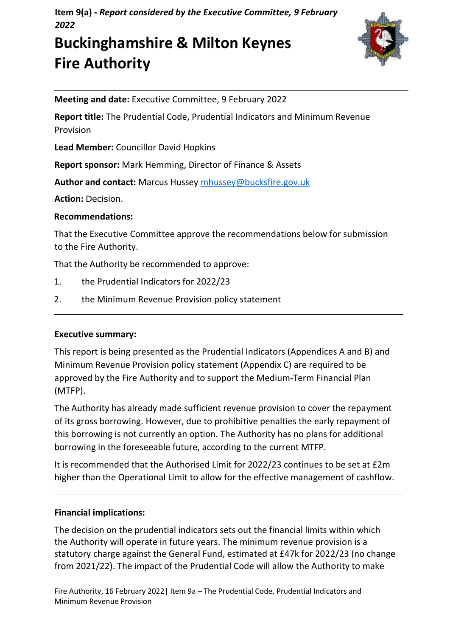**Item 9(a) -** *Report considered by the Executive Committee, 9 February 2022*

# **Buckinghamshire & Milton Keynes Fire Authority**



**Meeting and date:** Executive Committee, 9 February 2022

**Report title:** The Prudential Code, Prudential Indicators and Minimum Revenue Provision

**Lead Member:** Councillor David Hopkins

**Report sponsor:** Mark Hemming, Director of Finance & Assets

**Author and contact:** Marcus Hussey [mhussey@bucksfire.gov.uk](mailto:mhussey@bucksfire.gov.uk)

**Action:** Decision.

# **Recommendations:**

That the Executive Committee approve the recommendations below for submission to the Fire Authority.

That the Authority be recommended to approve:

- 1. the Prudential Indicators for 2022/23
- 2. the Minimum Revenue Provision policy statement

# **Executive summary:**

This report is being presented as the Prudential Indicators (Appendices A and B) and Minimum Revenue Provision policy statement (Appendix C) are required to be approved by the Fire Authority and to support the Medium-Term Financial Plan (MTFP).

The Authority has already made sufficient revenue provision to cover the repayment of its gross borrowing. However, due to prohibitive penalties the early repayment of this borrowing is not currently an option. The Authority has no plans for additional borrowing in the foreseeable future, according to the current MTFP.

It is recommended that the Authorised Limit for 2022/23 continues to be set at £2m higher than the Operational Limit to allow for the effective management of cashflow.

# **Financial implications:**

The decision on the prudential indicators sets out the financial limits within which the Authority will operate in future years. The minimum revenue provision is a statutory charge against the General Fund, estimated at £47k for 2022/23 (no change from 2021/22). The impact of the Prudential Code will allow the Authority to make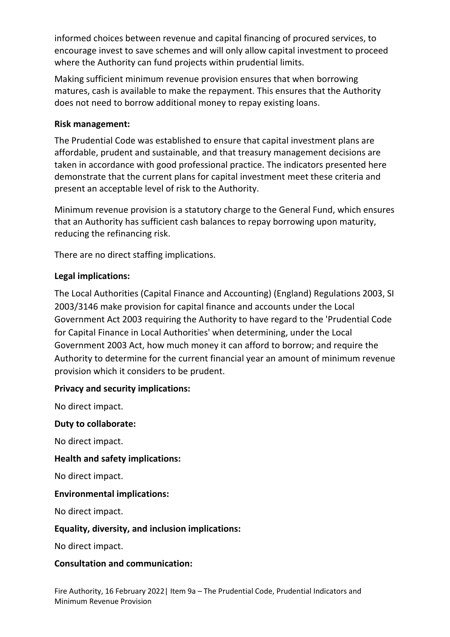informed choices between revenue and capital financing of procured services, to encourage invest to save schemes and will only allow capital investment to proceed where the Authority can fund projects within prudential limits.

Making sufficient minimum revenue provision ensures that when borrowing matures, cash is available to make the repayment. This ensures that the Authority does not need to borrow additional money to repay existing loans.

# **Risk management:**

The Prudential Code was established to ensure that capital investment plans are affordable, prudent and sustainable, and that treasury management decisions are taken in accordance with good professional practice. The indicators presented here demonstrate that the current plans for capital investment meet these criteria and present an acceptable level of risk to the Authority.

Minimum revenue provision is a statutory charge to the General Fund, which ensures that an Authority has sufficient cash balances to repay borrowing upon maturity, reducing the refinancing risk.

There are no direct staffing implications.

# **Legal implications:**

The Local Authorities (Capital Finance and Accounting) (England) Regulations 2003, SI 2003/3146 make provision for capital finance and accounts under the Local Government Act 2003 requiring the Authority to have regard to the 'Prudential Code for Capital Finance in Local Authorities' when determining, under the Local Government 2003 Act, how much money it can afford to borrow; and require the Authority to determine for the current financial year an amount of minimum revenue provision which it considers to be prudent.

# **Privacy and security implications:**

No direct impact.

# **Duty to collaborate:**

No direct impact.

# **Health and safety implications:**

No direct impact.

# **Environmental implications:**

No direct impact.

# **Equality, diversity, and inclusion implications:**

No direct impact.

# **Consultation and communication:**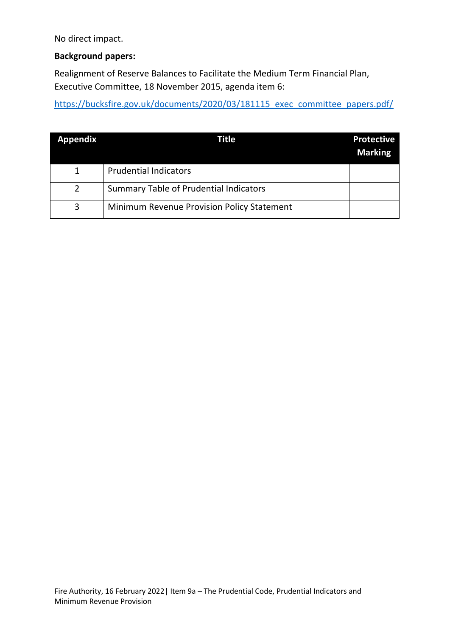No direct impact.

# **Background papers:**

Realignment of Reserve Balances to Facilitate the Medium Term Financial Plan, Executive Committee, 18 November 2015, agenda item 6:

[https://bucksfire.gov.uk/documents/2020/03/181115\\_exec\\_committee\\_papers.pdf/](https://bucksfire.gov.uk/documents/2020/03/181115_exec_committee_papers.pdf/)

| <b>Appendix</b> | Title                                             | <b>Protective</b><br><b>Marking</b> |
|-----------------|---------------------------------------------------|-------------------------------------|
|                 | <b>Prudential Indicators</b>                      |                                     |
| $\overline{2}$  | <b>Summary Table of Prudential Indicators</b>     |                                     |
| 3               | <b>Minimum Revenue Provision Policy Statement</b> |                                     |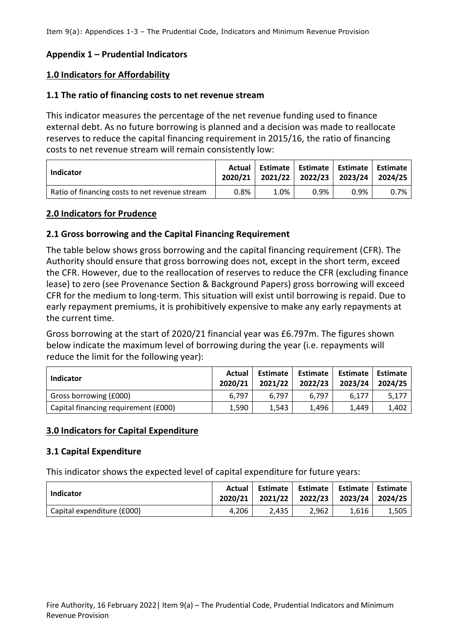## **Appendix 1 – Prudential Indicators**

#### **1.0 Indicators for Affordability**

#### **1.1 The ratio of financing costs to net revenue stream**

This indicator measures the percentage of the net revenue funding used to finance external debt. As no future borrowing is planned and a decision was made to reallocate reserves to reduce the capital financing requirement in 2015/16, the ratio of financing costs to net revenue stream will remain consistently low:

| Indicator                                      | Actual  |      | Estimate   Estimate   Estimate   Estimate<br>2020/21 2021/22 2022/23 2023/24 2024/25 |         |         |
|------------------------------------------------|---------|------|--------------------------------------------------------------------------------------|---------|---------|
| Ratio of financing costs to net revenue stream | $0.8\%$ | 1.0% | $0.9\%$                                                                              | $0.9\%$ | $0.7\%$ |

#### **2.0 Indicators for Prudence**

#### **2.1 Gross borrowing and the Capital Financing Requirement**

The table below shows gross borrowing and the capital financing requirement (CFR). The Authority should ensure that gross borrowing does not, except in the short term, exceed the CFR. However, due to the reallocation of reserves to reduce the CFR (excluding finance lease) to zero (see Provenance Section & Background Papers) gross borrowing will exceed CFR for the medium to long-term. This situation will exist until borrowing is repaid. Due to early repayment premiums, it is prohibitively expensive to make any early repayments at the current time.

Gross borrowing at the start of 2020/21 financial year was £6.797m. The figures shown below indicate the maximum level of borrowing during the year (i.e. repayments will reduce the limit for the following year):

| Indicator                            | Actual<br>2020/21 | Estimate  <br>2021/22 | Estimate  <br>2022/23 | 2023/24 | Estimate   Estimate<br>2024/25 |
|--------------------------------------|-------------------|-----------------------|-----------------------|---------|--------------------------------|
| Gross borrowing (£000)               | 6.797             | 6.797                 | 6.797                 | 6.177   | 5.177                          |
| Capital financing requirement (£000) | 1,590             | 1.543                 | 1,496                 | 1.449   | 1,402                          |

#### **3.0 Indicators for Capital Expenditure**

#### **3.1 Capital Expenditure**

This indicator shows the expected level of capital expenditure for future years:

| Indicator                  | Actual<br>2020/21 | Estimate | 2021/22 2022/23 2023/24 2024/25 | Estimate   Estimate   Estimate |       |
|----------------------------|-------------------|----------|---------------------------------|--------------------------------|-------|
| Capital expenditure (£000) | 4.206             | 2.435    | 2.962                           | 1.616                          | 1.505 |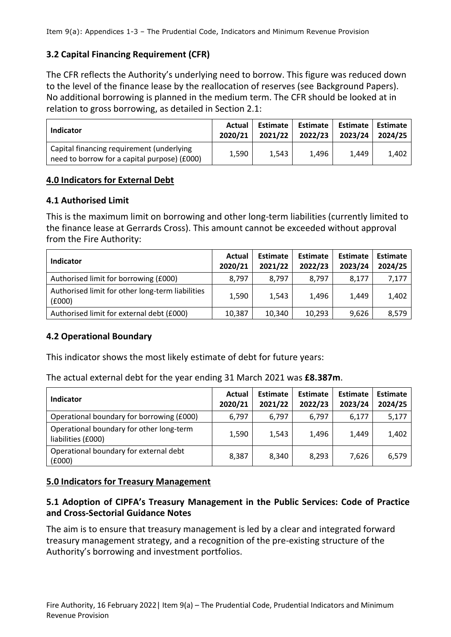# **3.2 Capital Financing Requirement (CFR)**

The CFR reflects the Authority's underlying need to borrow. This figure was reduced down to the level of the finance lease by the reallocation of reserves (see Background Papers). No additional borrowing is planned in the medium term. The CFR should be looked at in relation to gross borrowing, as detailed in Section 2.1:

| Indicator                                                                                 | Actual<br>2020/21 | Estimate<br>2021/22 | Estimate  <br>2022/23 | Estimate   Estimate<br>2023/24 | 2024/25 |
|-------------------------------------------------------------------------------------------|-------------------|---------------------|-----------------------|--------------------------------|---------|
| Capital financing requirement (underlying<br>need to borrow for a capital purpose) (£000) | 1,590             | 1.543               | 1.496                 | 1.449                          | 1.402   |

## **4.0 Indicators for External Debt**

## **4.1 Authorised Limit**

This is the maximum limit on borrowing and other long-term liabilities (currently limited to the finance lease at Gerrards Cross). This amount cannot be exceeded without approval from the Fire Authority:

| Indicator                                                  | Actual<br>2020/21 | <b>Estimate</b><br>2021/22 | <b>Estimate</b><br>2022/23 | <b>Estimate</b><br>2023/24 | <b>Estimate</b><br>2024/25 |
|------------------------------------------------------------|-------------------|----------------------------|----------------------------|----------------------------|----------------------------|
| Authorised limit for borrowing (£000)                      | 8,797             | 8,797                      | 8.797                      | 8.177                      | 7,177                      |
| Authorised limit for other long-term liabilities<br>(6000) | 1,590             | 1.543                      | 1.496                      | 1,449                      | 1,402                      |
| Authorised limit for external debt (£000)                  | 10,387            | 10,340                     | 10,293                     | 9,626                      | 8,579                      |

# **4.2 Operational Boundary**

This indicator shows the most likely estimate of debt for future years:

The actual external debt for the year ending 31 March 2021 was **£8.387m**.

| Indicator                                                      | Actual<br>2020/21 | <b>Estimate</b><br>2021/22 | <b>Estimate</b><br>2022/23 | Estimate<br>2023/24 | <b>Estimate</b><br>2024/25 |
|----------------------------------------------------------------|-------------------|----------------------------|----------------------------|---------------------|----------------------------|
| Operational boundary for borrowing (£000)                      | 6.797             | 6.797                      | 6.797                      | 6,177               | 5,177                      |
| Operational boundary for other long-term<br>liabilities (£000) | 1,590             | 1,543                      | 1,496                      | 1,449               | 1,402                      |
| Operational boundary for external debt<br>(6000)               | 8,387             | 8,340                      | 8,293                      | 7.626               | 6,579                      |

## **5.0 Indicators for Treasury Management**

## **5.1 Adoption of CIPFA's Treasury Management in the Public Services: Code of Practice and Cross-Sectorial Guidance Notes**

The aim is to ensure that treasury management is led by a clear and integrated forward treasury management strategy, and a recognition of the pre-existing structure of the Authority's borrowing and investment portfolios.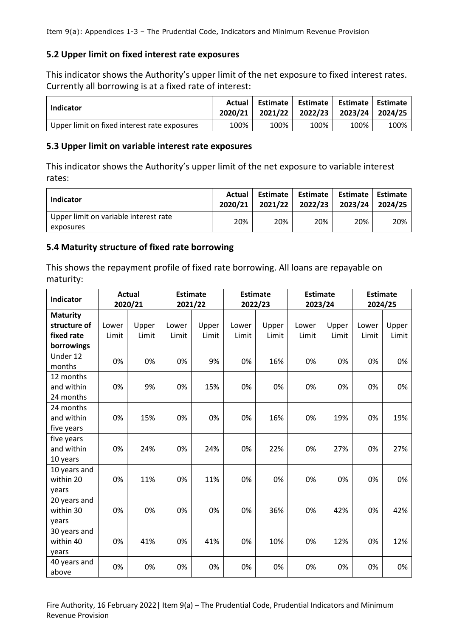## **5.2 Upper limit on fixed interest rate exposures**

This indicator shows the Authority's upper limit of the net exposure to fixed interest rates. Currently all borrowing is at a fixed rate of interest:

| Indicator                                    | Actual<br>2020/21 |      | Estimate   Estimate   Estimate   Estimate<br>2021/22 2022/23 2023/24 2024/25 |      |      |
|----------------------------------------------|-------------------|------|------------------------------------------------------------------------------|------|------|
| Upper limit on fixed interest rate exposures | 100%              | 100% | 100%                                                                         | 100% | 100% |

#### **5.3 Upper limit on variable interest rate exposures**

This indicator shows the Authority's upper limit of the net exposure to variable interest rates:

| <b>Indicator</b>                                   | Actual<br>2020/21 | Estimate<br>2021/22 | Estimate  <br>2022/23 | Estimate   Estimate<br>2023/24 | 2024/25 |
|----------------------------------------------------|-------------------|---------------------|-----------------------|--------------------------------|---------|
| Upper limit on variable interest rate<br>exposures | 20%               | 20%                 | 20%                   | 20%                            | 20%     |

## **5.4 Maturity structure of fixed rate borrowing**

This shows the repayment profile of fixed rate borrowing. All loans are repayable on maturity:

| <b>Indicator</b> | <b>Actual</b> |       | <b>Estimate</b> |       | <b>Estimate</b> |       | <b>Estimate</b> |       | <b>Estimate</b> |       |
|------------------|---------------|-------|-----------------|-------|-----------------|-------|-----------------|-------|-----------------|-------|
|                  | 2020/21       |       | 2021/22         |       | 2022/23         |       | 2023/24         |       | 2024/25         |       |
| <b>Maturity</b>  |               |       |                 |       |                 |       |                 |       |                 |       |
| structure of     | Lower         | Upper | Lower           | Upper | Lower           | Upper | Lower           | Upper | Lower           | Upper |
| fixed rate       | Limit         | Limit | Limit           | Limit | Limit           | Limit | Limit           | Limit | Limit           | Limit |
| borrowings       |               |       |                 |       |                 |       |                 |       |                 |       |
| Under 12         | 0%            | 0%    | 0%              | 9%    | 0%              | 16%   | 0%              | 0%    | 0%              | 0%    |
| months           |               |       |                 |       |                 |       |                 |       |                 |       |
| 12 months        |               |       |                 |       |                 |       |                 |       |                 |       |
| and within       | 0%            | 9%    | 0%              | 15%   | 0%              | 0%    | 0%              | 0%    | 0%              | 0%    |
| 24 months        |               |       |                 |       |                 |       |                 |       |                 |       |
| 24 months        |               |       |                 |       |                 |       |                 |       |                 |       |
| and within       | 0%            | 15%   | 0%              | 0%    | 0%              | 16%   | 0%              | 19%   | 0%              | 19%   |
| five years       |               |       |                 |       |                 |       |                 |       |                 |       |
| five years       |               |       |                 |       |                 |       |                 |       |                 |       |
| and within       | 0%            | 24%   | 0%              | 24%   | 0%              | 22%   | 0%              | 27%   | 0%              | 27%   |
| 10 years         |               |       |                 |       |                 |       |                 |       |                 |       |
| 10 years and     |               |       |                 |       |                 |       |                 |       |                 |       |
| within 20        | 0%            | 11%   | 0%              | 11%   | 0%              | 0%    | 0%              | 0%    | 0%              | 0%    |
| years            |               |       |                 |       |                 |       |                 |       |                 |       |
| 20 years and     |               |       |                 |       |                 |       |                 |       |                 |       |
| within 30        | 0%            | 0%    | 0%              | 0%    | 0%              | 36%   | 0%              | 42%   | 0%              | 42%   |
| years            |               |       |                 |       |                 |       |                 |       |                 |       |
| 30 years and     |               |       |                 |       |                 |       |                 |       |                 |       |
| within 40        | 0%            | 41%   | 0%              | 41%   | 0%              | 10%   | 0%              | 12%   | 0%              | 12%   |
| years            |               |       |                 |       |                 |       |                 |       |                 |       |
| 40 years and     | 0%            | 0%    | 0%              | 0%    | 0%              | 0%    | 0%              | 0%    | 0%              | 0%    |
| above            |               |       |                 |       |                 |       |                 |       |                 |       |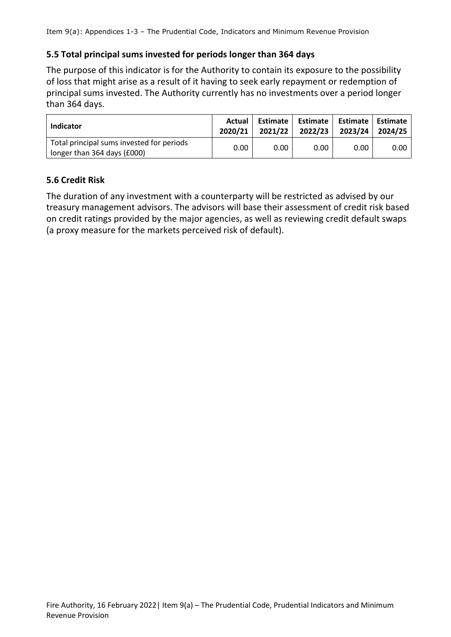## **5.5 Total principal sums invested for periods longer than 364 days**

The purpose of this indicator is for the Authority to contain its exposure to the possibility of loss that might arise as a result of it having to seek early repayment or redemption of principal sums invested. The Authority currently has no investments over a period longer than 364 days.

| Indicator                                                                | Actual<br>2020/21 | Estimate  <br>2021/22 | Estimate  <br>2022/23 | Estimate   Estimate<br>2023/24 | 2024/25 |
|--------------------------------------------------------------------------|-------------------|-----------------------|-----------------------|--------------------------------|---------|
| Total principal sums invested for periods<br>longer than 364 days (£000) | 0.00              | 0.00                  | 0.00                  | 0.00                           | 0.00    |

## **5.6 Credit Risk**

The duration of any investment with a counterparty will be restricted as advised by our treasury management advisors. The advisors will base their assessment of credit risk based on credit ratings provided by the major agencies, as well as reviewing credit default swaps (a proxy measure for the markets perceived risk of default).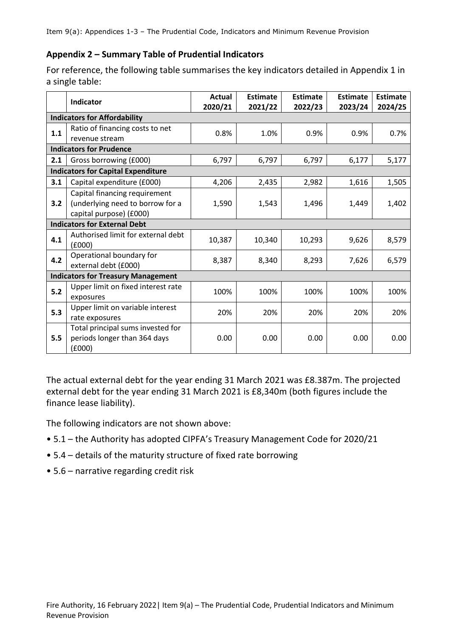#### **Appendix 2 – Summary Table of Prudential Indicators**

For reference, the following table summarises the key indicators detailed in Appendix 1 in a single table:

|       | Indicator                                                                                    | <b>Actual</b><br>2020/21 | <b>Estimate</b><br>2021/22 | <b>Estimate</b><br>2022/23 | <b>Estimate</b><br>2023/24 | <b>Estimate</b><br>2024/25 |
|-------|----------------------------------------------------------------------------------------------|--------------------------|----------------------------|----------------------------|----------------------------|----------------------------|
|       | <b>Indicators for Affordability</b>                                                          |                          |                            |                            |                            |                            |
| 1.1   | Ratio of financing costs to net<br>revenue stream                                            | 0.8%                     | 1.0%                       | 0.9%                       | 0.9%                       | 0.7%                       |
|       | <b>Indicators for Prudence</b>                                                               |                          |                            |                            |                            |                            |
| 2.1   | Gross borrowing (£000)                                                                       | 6,797                    | 6,797                      | 6,797                      | 6,177                      | 5,177                      |
|       | <b>Indicators for Capital Expenditure</b>                                                    |                          |                            |                            |                            |                            |
| 3.1   | Capital expenditure (£000)                                                                   | 4,206                    | 2,435                      | 2,982                      | 1,616                      | 1,505                      |
| 3.2   | Capital financing requirement<br>(underlying need to borrow for a<br>capital purpose) (£000) | 1,590                    | 1,543                      | 1,496                      | 1,449                      | 1,402                      |
|       | <b>Indicators for External Debt</b>                                                          |                          |                            |                            |                            |                            |
| 4.1   | Authorised limit for external debt<br>(£000)                                                 | 10,387                   | 10,340                     | 10,293                     | 9,626                      | 8,579                      |
| 4.2   | Operational boundary for<br>external debt (£000)                                             | 8,387                    | 8,340                      | 8,293                      | 7,626                      | 6,579                      |
|       | <b>Indicators for Treasury Management</b>                                                    |                          |                            |                            |                            |                            |
| $5.2$ | Upper limit on fixed interest rate<br>exposures                                              | 100%                     | 100%                       | 100%                       | 100%                       | 100%                       |
| 5.3   | Upper limit on variable interest<br>rate exposures                                           | 20%                      | 20%                        | 20%                        | 20%                        | 20%                        |
| 5.5   | Total principal sums invested for<br>periods longer than 364 days<br>(6000)                  | 0.00                     | 0.00                       | 0.00                       | 0.00                       | 0.00                       |

The actual external debt for the year ending 31 March 2021 was £8.387m. The projected external debt for the year ending 31 March 2021 is £8,340m (both figures include the finance lease liability).

The following indicators are not shown above:

- 5.1 the Authority has adopted CIPFA's Treasury Management Code for 2020/21
- 5.4 details of the maturity structure of fixed rate borrowing
- 5.6 narrative regarding credit risk